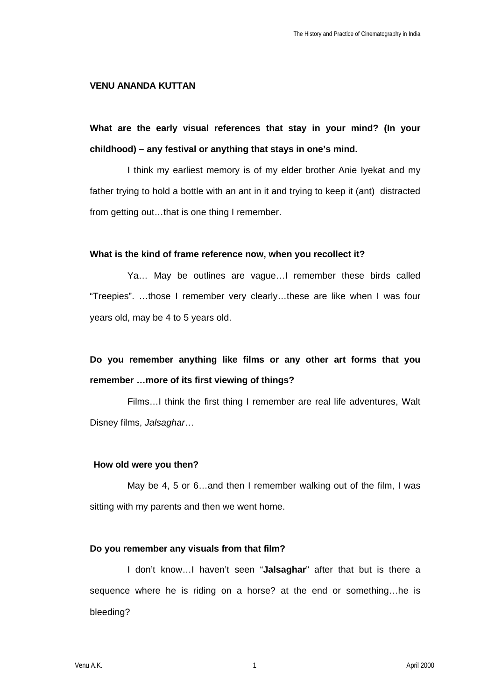### **VENU ANANDA KUTTAN**

**What are the early visual references that stay in your mind? (In your childhood) – any festival or anything that stays in one's mind.**

I think my earliest memory is of my elder brother Anie Iyekat and my father trying to hold a bottle with an ant in it and trying to keep it (ant) distracted from getting out…that is one thing I remember.

### **What is the kind of frame reference now, when you recollect it?**

Ya… May be outlines are vague…I remember these birds called "Treepies". …those I remember very clearly…these are like when I was four years old, may be 4 to 5 years old.

# **Do you remember anything like films or any other art forms that you remember …more of its first viewing of things?**

Films…I think the first thing I remember are real life adventures, Walt Disney films, *Jalsaghar*…

### **How old were you then?**

May be 4, 5 or 6…and then I remember walking out of the film, I was sitting with my parents and then we went home.

### **Do you remember any visuals from that film?**

I don't know…I haven't seen "**Jalsaghar**" after that but is there a sequence where he is riding on a horse? at the end or something…he is bleeding?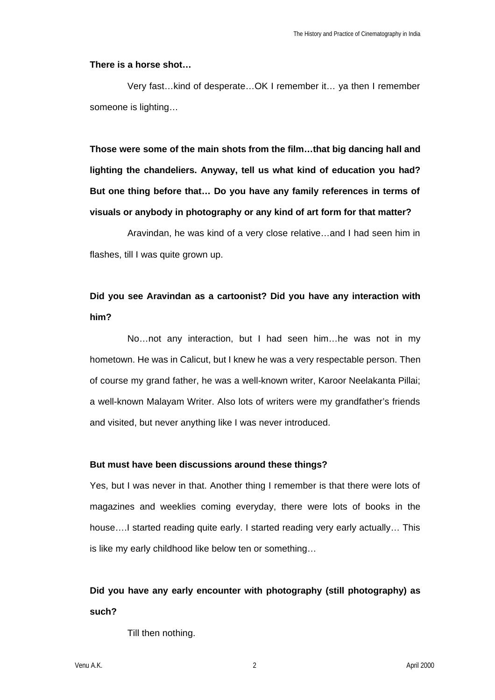### **There is a horse shot…**

Very fast…kind of desperate…OK I remember it… ya then I remember someone is lighting…

**Those were some of the main shots from the film…that big dancing hall and lighting the chandeliers. Anyway, tell us what kind of education you had? But one thing before that… Do you have any family references in terms of visuals or anybody in photography or any kind of art form for that matter?**

Aravindan, he was kind of a very close relative…and I had seen him in flashes, till I was quite grown up.

# **Did you see Aravindan as a cartoonist? Did you have any interaction with him?**

No…not any interaction, but I had seen him…he was not in my hometown. He was in Calicut, but I knew he was a very respectable person. Then of course my grand father, he was a well-known writer, Karoor Neelakanta Pillai; a well-known Malayam Writer. Also lots of writers were my grandfather's friends and visited, but never anything like I was never introduced.

### **But must have been discussions around these things?**

Yes, but I was never in that. Another thing I remember is that there were lots of magazines and weeklies coming everyday, there were lots of books in the house….I started reading quite early. I started reading very early actually… This is like my early childhood like below ten or something…

# **Did you have any early encounter with photography (still photography) as such?**

Till then nothing.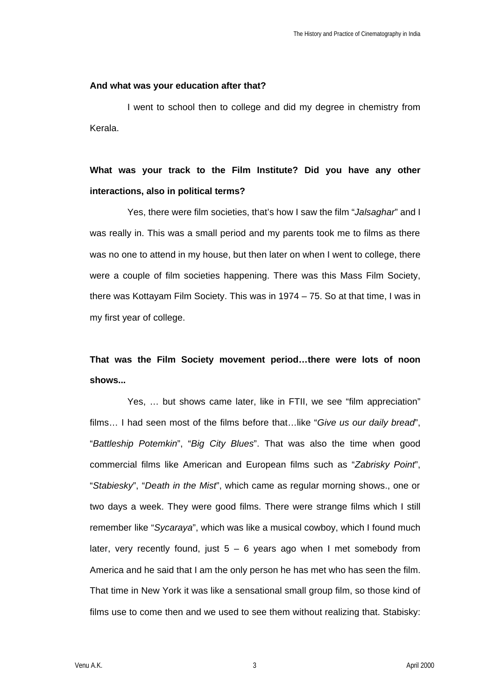### **And what was your education after that?**

I went to school then to college and did my degree in chemistry from Kerala.

# **What was your track to the Film Institute? Did you have any other interactions, also in political terms?**

Yes, there were film societies, that's how I saw the film "*Jalsaghar*" and I was really in. This was a small period and my parents took me to films as there was no one to attend in my house, but then later on when I went to college, there were a couple of film societies happening. There was this Mass Film Society, there was Kottayam Film Society. This was in 1974 – 75. So at that time, I was in my first year of college.

# **That was the Film Society movement period…there were lots of noon shows...**

Yes, … but shows came later, like in FTII, we see "film appreciation" films… I had seen most of the films before that…like "*Give us our daily bread*", "*Battleship Potemkin*", "*Big City Blues*". That was also the time when good commercial films like American and European films such as "*Zabrisky Point*", "*Stabiesky*", "*Death in the Mist*", which came as regular morning shows., one or two days a week. They were good films. There were strange films which I still remember like "*Sycaraya*", which was like a musical cowboy, which I found much later, very recently found, just  $5 - 6$  years ago when I met somebody from America and he said that I am the only person he has met who has seen the film. That time in New York it was like a sensational small group film, so those kind of films use to come then and we used to see them without realizing that. Stabisky:

Venu A.K. 3 April 2000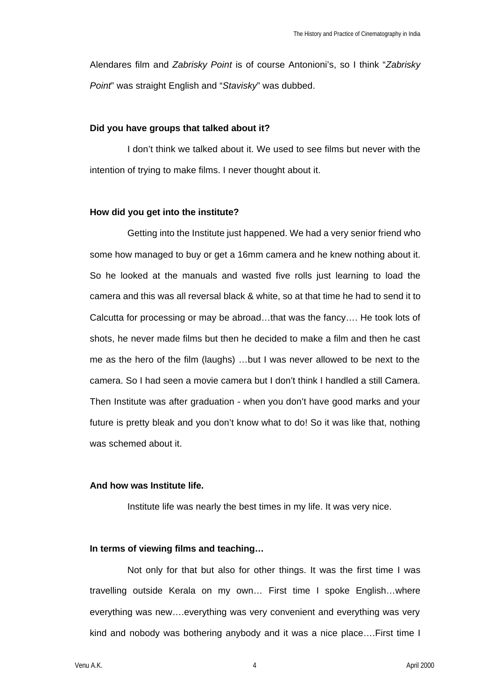Alendares film and *Zabrisky Point* is of course Antonioni's, so I think "*Zabrisky Point*" was straight English and "*Stavisky*" was dubbed.

### **Did you have groups that talked about it?**

I don't think we talked about it. We used to see films but never with the intention of trying to make films. I never thought about it.

#### **How did you get into the institute?**

Getting into the Institute just happened. We had a very senior friend who some how managed to buy or get a 16mm camera and he knew nothing about it. So he looked at the manuals and wasted five rolls just learning to load the camera and this was all reversal black & white, so at that time he had to send it to Calcutta for processing or may be abroad…that was the fancy…. He took lots of shots, he never made films but then he decided to make a film and then he cast me as the hero of the film (laughs) …but I was never allowed to be next to the camera. So I had seen a movie camera but I don't think I handled a still Camera. Then Institute was after graduation - when you don't have good marks and your future is pretty bleak and you don't know what to do! So it was like that, nothing was schemed about it.

### **And how was Institute life.**

Institute life was nearly the best times in my life. It was very nice.

### **In terms of viewing films and teaching…**

Not only for that but also for other things. It was the first time I was travelling outside Kerala on my own… First time I spoke English…where everything was new….everything was very convenient and everything was very kind and nobody was bothering anybody and it was a nice place….First time I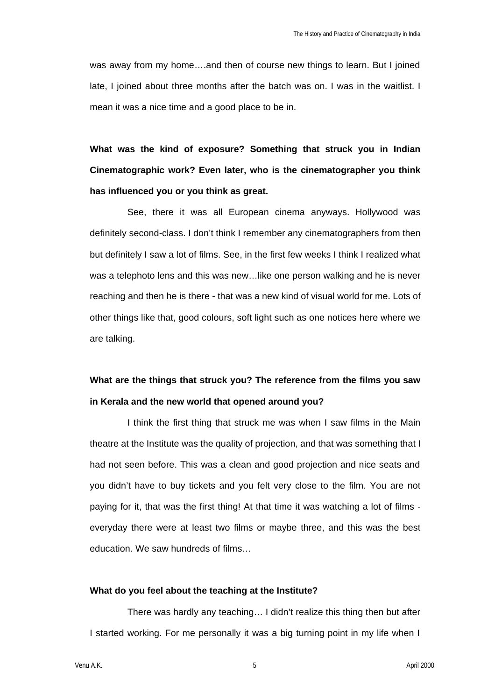was away from my home….and then of course new things to learn. But I joined late, I joined about three months after the batch was on. I was in the waitlist. I mean it was a nice time and a good place to be in.

**What was the kind of exposure? Something that struck you in Indian Cinematographic work? Even later, who is the cinematographer you think has influenced you or you think as great.**

See, there it was all European cinema anyways. Hollywood was definitely second-class. I don't think I remember any cinematographers from then but definitely I saw a lot of films. See, in the first few weeks I think I realized what was a telephoto lens and this was new…like one person walking and he is never reaching and then he is there - that was a new kind of visual world for me. Lots of other things like that, good colours, soft light such as one notices here where we are talking.

# **What are the things that struck you? The reference from the films you saw in Kerala and the new world that opened around you?**

I think the first thing that struck me was when I saw films in the Main theatre at the Institute was the quality of projection, and that was something that I had not seen before. This was a clean and good projection and nice seats and you didn't have to buy tickets and you felt very close to the film. You are not paying for it, that was the first thing! At that time it was watching a lot of films everyday there were at least two films or maybe three, and this was the best education. We saw hundreds of films…

### **What do you feel about the teaching at the Institute?**

There was hardly any teaching… I didn't realize this thing then but after I started working. For me personally it was a big turning point in my life when I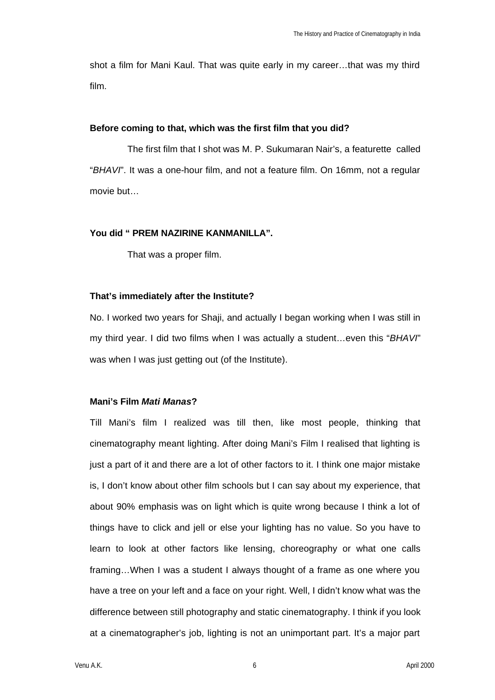shot a film for Mani Kaul. That was quite early in my career…that was my third film.

### **Before coming to that, which was the first film that you did?**

The first film that I shot was M. P. Sukumaran Nair's, a featurette called "*BHAVI*". It was a one-hour film, and not a feature film. On 16mm, not a regular movie but…

## **You did " PREM NAZIRINE KANMANILLA".**

That was a proper film.

### **That's immediately after the Institute?**

No. I worked two years for Shaji, and actually I began working when I was still in my third year. I did two films when I was actually a student…even this "*BHAVI*" was when I was just getting out (of the Institute).

## **Mani's Film** *Mati Manas***?**

Till Mani's film I realized was till then, like most people, thinking that cinematography meant lighting. After doing Mani's Film I realised that lighting is just a part of it and there are a lot of other factors to it. I think one major mistake is, I don't know about other film schools but I can say about my experience, that about 90% emphasis was on light which is quite wrong because I think a lot of things have to click and jell or else your lighting has no value. So you have to learn to look at other factors like lensing, choreography or what one calls framing…When I was a student I always thought of a frame as one where you have a tree on your left and a face on your right. Well, I didn't know what was the difference between still photography and static cinematography. I think if you look at a cinematographer's job, lighting is not an unimportant part. It's a major part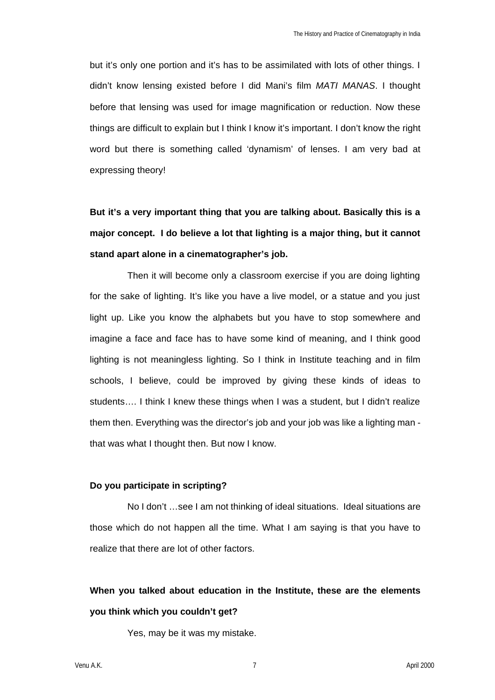but it's only one portion and it's has to be assimilated with lots of other things. I didn't know lensing existed before I did Mani's film *MATI MANAS*. I thought before that lensing was used for image magnification or reduction. Now these things are difficult to explain but I think I know it's important. I don't know the right word but there is something called 'dynamism' of lenses. I am very bad at expressing theory!

**But it's a very important thing that you are talking about. Basically this is a major concept. I do believe a lot that lighting is a major thing, but it cannot stand apart alone in a cinematographer's job.**

Then it will become only a classroom exercise if you are doing lighting for the sake of lighting. It's like you have a live model, or a statue and you just light up. Like you know the alphabets but you have to stop somewhere and imagine a face and face has to have some kind of meaning, and I think good lighting is not meaningless lighting. So I think in Institute teaching and in film schools, I believe, could be improved by giving these kinds of ideas to students…. I think I knew these things when I was a student, but I didn't realize them then. Everything was the director's job and your job was like a lighting man that was what I thought then. But now I know.

### **Do you participate in scripting?**

No I don't …see I am not thinking of ideal situations. Ideal situations are those which do not happen all the time. What I am saying is that you have to realize that there are lot of other factors.

# **When you talked about education in the Institute, these are the elements you think which you couldn't get?**

Yes, may be it was my mistake.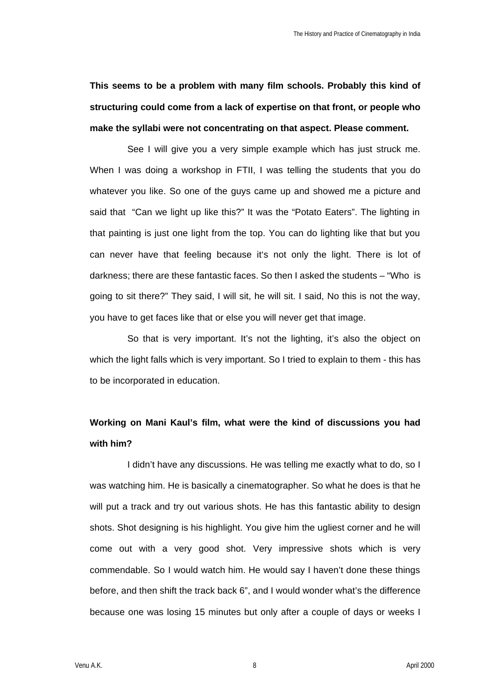**This seems to be a problem with many film schools. Probably this kind of structuring could come from a lack of expertise on that front, or people who make the syllabi were not concentrating on that aspect. Please comment.**

See I will give you a very simple example which has just struck me. When I was doing a workshop in FTII, I was telling the students that you do whatever you like. So one of the guys came up and showed me a picture and said that "Can we light up like this?" It was the "Potato Eaters". The lighting in that painting is just one light from the top. You can do lighting like that but you can never have that feeling because it's not only the light. There is lot of darkness; there are these fantastic faces. So then I asked the students – "Who is going to sit there?" They said, I will sit, he will sit. I said, No this is not the way, you have to get faces like that or else you will never get that image.

So that is very important. It's not the lighting, it's also the object on which the light falls which is very important. So I tried to explain to them - this has to be incorporated in education.

# **Working on Mani Kaul's film, what were the kind of discussions you had with him?**

I didn't have any discussions. He was telling me exactly what to do, so I was watching him. He is basically a cinematographer. So what he does is that he will put a track and try out various shots. He has this fantastic ability to design shots. Shot designing is his highlight. You give him the ugliest corner and he will come out with a very good shot. Very impressive shots which is very commendable. So I would watch him. He would say I haven't done these things before, and then shift the track back 6", and I would wonder what's the difference because one was losing 15 minutes but only after a couple of days or weeks I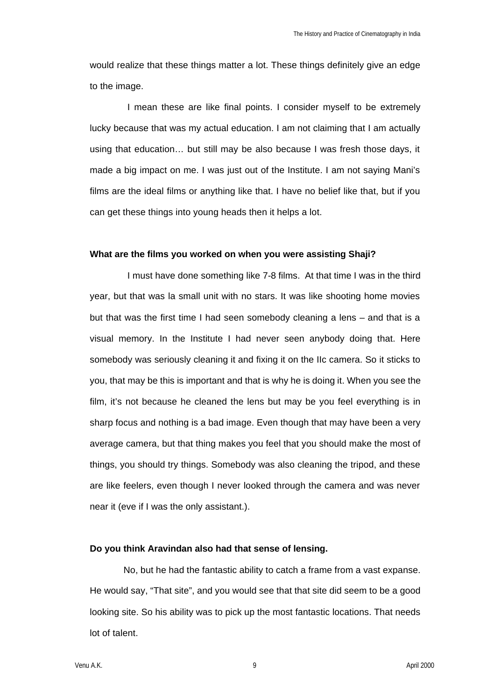would realize that these things matter a lot. These things definitely give an edge to the image.

I mean these are like final points. I consider myself to be extremely lucky because that was my actual education. I am not claiming that I am actually using that education… but still may be also because I was fresh those days, it made a big impact on me. I was just out of the Institute. I am not saying Mani's films are the ideal films or anything like that. I have no belief like that, but if you can get these things into young heads then it helps a lot.

#### **What are the films you worked on when you were assisting Shaji?**

I must have done something like 7-8 films. At that time I was in the third year, but that was la small unit with no stars. It was like shooting home movies but that was the first time I had seen somebody cleaning a lens – and that is a visual memory. In the Institute I had never seen anybody doing that. Here somebody was seriously cleaning it and fixing it on the IIc camera. So it sticks to you, that may be this is important and that is why he is doing it. When you see the film, it's not because he cleaned the lens but may be you feel everything is in sharp focus and nothing is a bad image. Even though that may have been a very average camera, but that thing makes you feel that you should make the most of things, you should try things. Somebody was also cleaning the tripod, and these are like feelers, even though I never looked through the camera and was never near it (eve if I was the only assistant.).

### **Do you think Aravindan also had that sense of lensing.**

No, but he had the fantastic ability to catch a frame from a vast expanse. He would say, "That site", and you would see that that site did seem to be a good looking site. So his ability was to pick up the most fantastic locations. That needs lot of talent.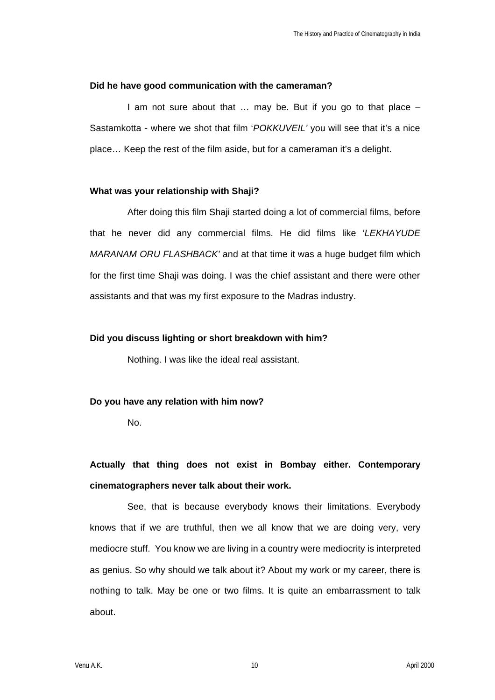### **Did he have good communication with the cameraman?**

I am not sure about that … may be. But if you go to that place – Sastamkotta - where we shot that film '*POKKUVEIL'* you will see that it's a nice place… Keep the rest of the film aside, but for a cameraman it's a delight.

### **What was your relationship with Shaji?**

After doing this film Shaji started doing a lot of commercial films, before that he never did any commercial films. He did films like '*LEKHAYUDE MARANAM ORU FLASHBACK'* and at that time it was a huge budget film which for the first time Shaji was doing. I was the chief assistant and there were other assistants and that was my first exposure to the Madras industry.

### **Did you discuss lighting or short breakdown with him?**

Nothing. I was like the ideal real assistant.

## **Do you have any relation with him now?**

No.

# **Actually that thing does not exist in Bombay either. Contemporary cinematographers never talk about their work.**

See, that is because everybody knows their limitations. Everybody knows that if we are truthful, then we all know that we are doing very, very mediocre stuff. You know we are living in a country were mediocrity is interpreted as genius. So why should we talk about it? About my work or my career, there is nothing to talk. May be one or two films. It is quite an embarrassment to talk about.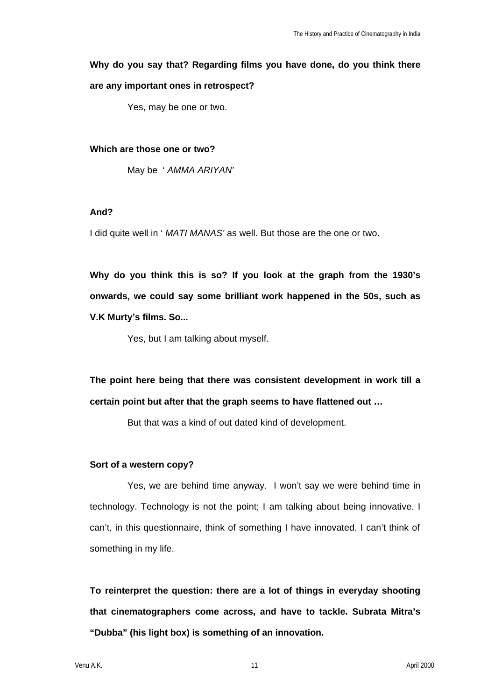# **Why do you say that? Regarding films you have done, do you think there are any important ones in retrospect?**

Yes, may be one or two.

### **Which are those one or two?**

May be ' *AMMA ARIYAN'*

## **And?**

I did quite well in ' *MATI MANAS'* as well. But those are the one or two.

**Why do you think this is so? If you look at the graph from the 1930's onwards, we could say some brilliant work happened in the 50s, such as V.K Murty's films. So...**

Yes, but I am talking about myself.

**The point here being that there was consistent development in work till a certain point but after that the graph seems to have flattened out …** 

But that was a kind of out dated kind of development.

## **Sort of a western copy?**

Yes, we are behind time anyway. I won't say we were behind time in technology. Technology is not the point; I am talking about being innovative. I can't, in this questionnaire, think of something I have innovated. I can't think of something in my life.

**To reinterpret the question: there are a lot of things in everyday shooting that cinematographers come across, and have to tackle. Subrata Mitra's "Dubba" (his light box) is something of an innovation.**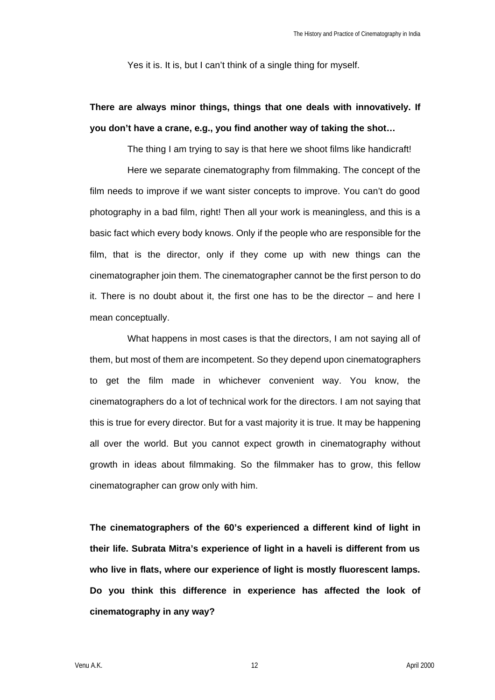Yes it is. It is, but I can't think of a single thing for myself.

# **There are always minor things, things that one deals with innovatively. If you don't have a crane, e.g., you find another way of taking the shot…**

The thing I am trying to say is that here we shoot films like handicraft!

Here we separate cinematography from filmmaking. The concept of the film needs to improve if we want sister concepts to improve. You can't do good photography in a bad film, right! Then all your work is meaningless, and this is a basic fact which every body knows. Only if the people who are responsible for the film, that is the director, only if they come up with new things can the cinematographer join them. The cinematographer cannot be the first person to do it. There is no doubt about it, the first one has to be the director – and here I mean conceptually.

What happens in most cases is that the directors, I am not saying all of them, but most of them are incompetent. So they depend upon cinematographers to get the film made in whichever convenient way. You know, the cinematographers do a lot of technical work for the directors. I am not saying that this is true for every director. But for a vast majority it is true. It may be happening all over the world. But you cannot expect growth in cinematography without growth in ideas about filmmaking. So the filmmaker has to grow, this fellow cinematographer can grow only with him.

**The cinematographers of the 60's experienced a different kind of light in their life. Subrata Mitra's experience of light in a haveli is different from us who live in flats, where our experience of light is mostly fluorescent lamps. Do you think this difference in experience has affected the look of cinematography in any way?**

Venu A.K. 12 April 2000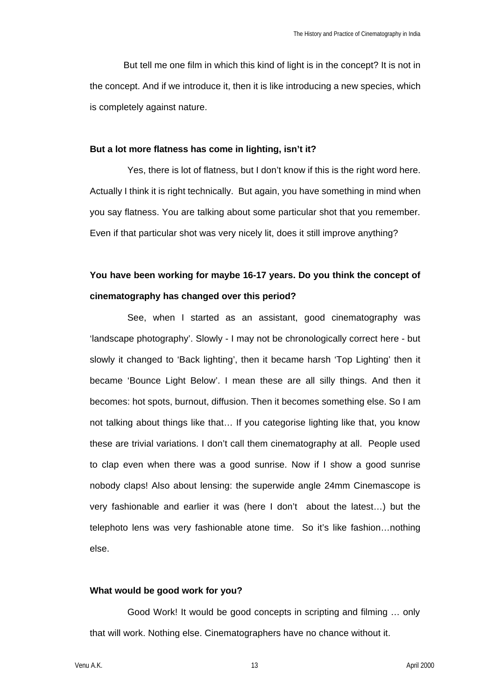But tell me one film in which this kind of light is in the concept? It is not in the concept. And if we introduce it, then it is like introducing a new species, which is completely against nature.

#### **But a lot more flatness has come in lighting, isn't it?**

Yes, there is lot of flatness, but I don't know if this is the right word here. Actually I think it is right technically. But again, you have something in mind when you say flatness. You are talking about some particular shot that you remember. Even if that particular shot was very nicely lit, does it still improve anything?

# **You have been working for maybe 16-17 years. Do you think the concept of cinematography has changed over this period?**

See, when I started as an assistant, good cinematography was 'landscape photography'. Slowly - I may not be chronologically correct here - but slowly it changed to 'Back lighting', then it became harsh 'Top Lighting' then it became 'Bounce Light Below'. I mean these are all silly things. And then it becomes: hot spots, burnout, diffusion. Then it becomes something else. So I am not talking about things like that… If you categorise lighting like that, you know these are trivial variations. I don't call them cinematography at all. People used to clap even when there was a good sunrise. Now if I show a good sunrise nobody claps! Also about lensing: the superwide angle 24mm Cinemascope is very fashionable and earlier it was (here I don't about the latest…) but the telephoto lens was very fashionable atone time. So it's like fashion…nothing else.

## **What would be good work for you?**

Good Work! It would be good concepts in scripting and filming … only that will work. Nothing else. Cinematographers have no chance without it.

Venu A.K. 13 April 2000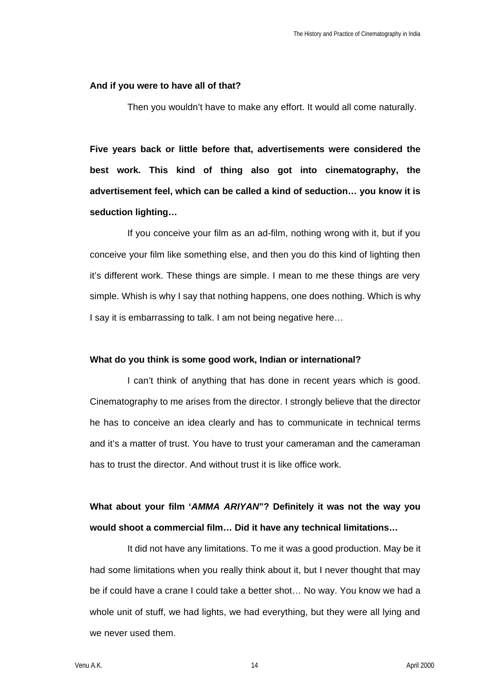#### **And if you were to have all of that?**

Then you wouldn't have to make any effort. It would all come naturally.

**Five years back or little before that, advertisements were considered the best work. This kind of thing also got into cinematography, the advertisement feel, which can be called a kind of seduction… you know it is seduction lighting…** 

If you conceive your film as an ad-film, nothing wrong with it, but if you conceive your film like something else, and then you do this kind of lighting then it's different work. These things are simple. I mean to me these things are very simple. Whish is why I say that nothing happens, one does nothing. Which is why I say it is embarrassing to talk. I am not being negative here…

### **What do you think is some good work, Indian or international?**

I can't think of anything that has done in recent years which is good. Cinematography to me arises from the director. I strongly believe that the director he has to conceive an idea clearly and has to communicate in technical terms and it's a matter of trust. You have to trust your cameraman and the cameraman has to trust the director. And without trust it is like office work.

**What about your film '***AMMA ARIYAN***"? Definitely it was not the way you would shoot a commercial film… Did it have any technical limitations…** 

It did not have any limitations. To me it was a good production. May be it had some limitations when you really think about it, but I never thought that may be if could have a crane I could take a better shot… No way. You know we had a whole unit of stuff, we had lights, we had everything, but they were all lying and we never used them.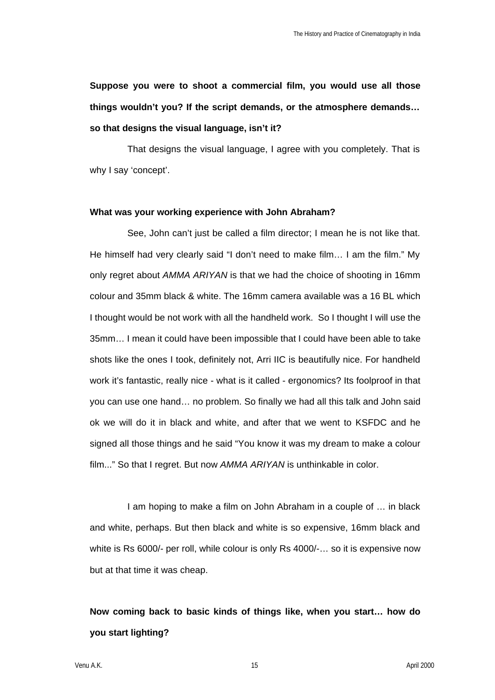**Suppose you were to shoot a commercial film, you would use all those things wouldn't you? If the script demands, or the atmosphere demands… so that designs the visual language, isn't it?**

That designs the visual language, I agree with you completely. That is why I say 'concept'.

### **What was your working experience with John Abraham?**

See, John can't just be called a film director; I mean he is not like that. He himself had very clearly said "I don't need to make film… I am the film." My only regret about *AMMA ARIYAN* is that we had the choice of shooting in 16mm colour and 35mm black & white. The 16mm camera available was a 16 BL which I thought would be not work with all the handheld work. So I thought I will use the 35mm… I mean it could have been impossible that I could have been able to take shots like the ones I took, definitely not, Arri IIC is beautifully nice. For handheld work it's fantastic, really nice - what is it called - ergonomics? Its foolproof in that you can use one hand… no problem. So finally we had all this talk and John said ok we will do it in black and white, and after that we went to KSFDC and he signed all those things and he said "You know it was my dream to make a colour film..." So that I regret. But now *AMMA ARIYAN* is unthinkable in color.

I am hoping to make a film on John Abraham in a couple of … in black and white, perhaps. But then black and white is so expensive, 16mm black and white is Rs 6000/- per roll, while colour is only Rs 4000/-... so it is expensive now but at that time it was cheap.

# **Now coming back to basic kinds of things like, when you start… how do you start lighting?**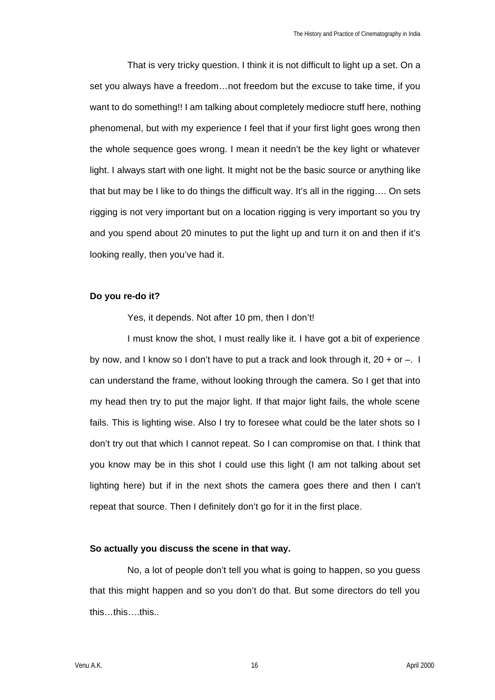That is very tricky question. I think it is not difficult to light up a set. On a set you always have a freedom…not freedom but the excuse to take time, if you want to do something!! I am talking about completely mediocre stuff here, nothing phenomenal, but with my experience I feel that if your first light goes wrong then the whole sequence goes wrong. I mean it needn't be the key light or whatever light. I always start with one light. It might not be the basic source or anything like that but may be I like to do things the difficult way. It's all in the rigging…. On sets rigging is not very important but on a location rigging is very important so you try and you spend about 20 minutes to put the light up and turn it on and then if it's looking really, then you've had it.

### **Do you re-do it?**

Yes, it depends. Not after 10 pm, then I don't!

I must know the shot, I must really like it. I have got a bit of experience by now, and I know so I don't have to put a track and look through it,  $20 + or -$ . I can understand the frame, without looking through the camera. So I get that into my head then try to put the major light. If that major light fails, the whole scene fails. This is lighting wise. Also I try to foresee what could be the later shots so I don't try out that which I cannot repeat. So I can compromise on that. I think that you know may be in this shot I could use this light (I am not talking about set lighting here) but if in the next shots the camera goes there and then I can't repeat that source. Then I definitely don't go for it in the first place.

### **So actually you discuss the scene in that way.**

No, a lot of people don't tell you what is going to happen, so you guess that this might happen and so you don't do that. But some directors do tell you this…this….this..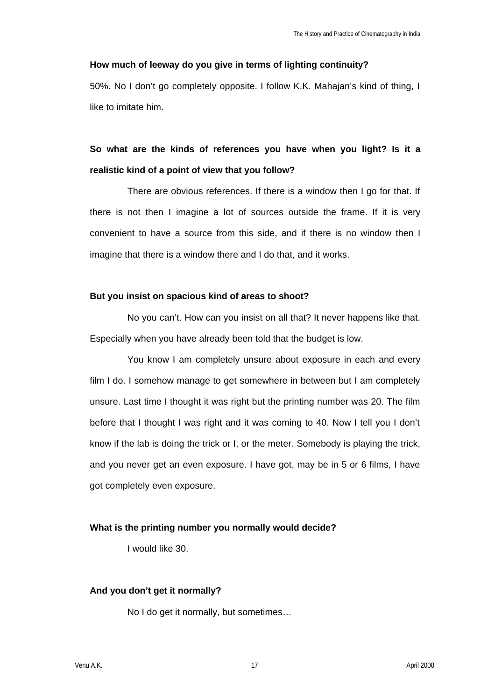### **How much of leeway do you give in terms of lighting continuity?**

50%. No I don't go completely opposite. I follow K.K. Mahajan's kind of thing, I like to imitate him.

# **So what are the kinds of references you have when you light? Is it a realistic kind of a point of view that you follow?**

There are obvious references. If there is a window then I go for that. If there is not then I imagine a lot of sources outside the frame. If it is very convenient to have a source from this side, and if there is no window then I imagine that there is a window there and I do that, and it works.

### **But you insist on spacious kind of areas to shoot?**

No you can't. How can you insist on all that? It never happens like that. Especially when you have already been told that the budget is low.

You know I am completely unsure about exposure in each and every film I do. I somehow manage to get somewhere in between but I am completely unsure. Last time I thought it was right but the printing number was 20. The film before that I thought I was right and it was coming to 40. Now I tell you I don't know if the lab is doing the trick or I, or the meter. Somebody is playing the trick, and you never get an even exposure. I have got, may be in 5 or 6 films, I have got completely even exposure.

## **What is the printing number you normally would decide?**

I would like 30.

## **And you don't get it normally?**

No I do get it normally, but sometimes…

Venu A.K. 17 April 2000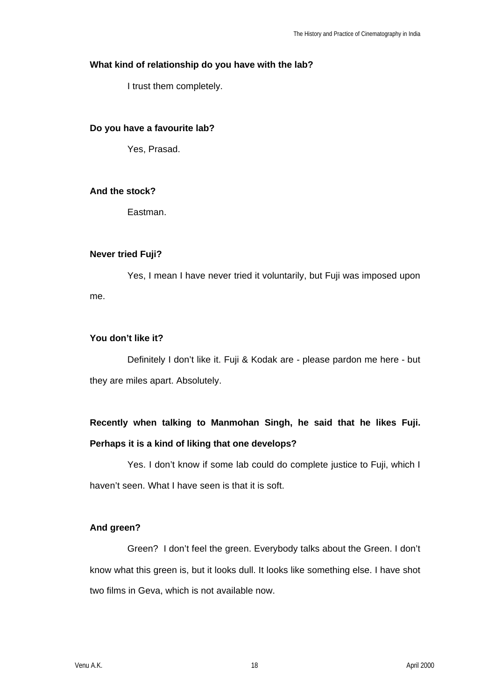# **What kind of relationship do you have with the lab?**

I trust them completely.

## **Do you have a favourite lab?**

Yes, Prasad.

# **And the stock?**

Eastman.

## **Never tried Fuji?**

Yes, I mean I have never tried it voluntarily, but Fuji was imposed upon me.

# **You don't like it?**

Definitely I don't like it. Fuji & Kodak are - please pardon me here - but they are miles apart. Absolutely.

# **Recently when talking to Manmohan Singh, he said that he likes Fuji. Perhaps it is a kind of liking that one develops?**

Yes. I don't know if some lab could do complete justice to Fuji, which I haven't seen. What I have seen is that it is soft.

# **And green?**

Green? I don't feel the green. Everybody talks about the Green. I don't know what this green is, but it looks dull. It looks like something else. I have shot two films in Geva, which is not available now.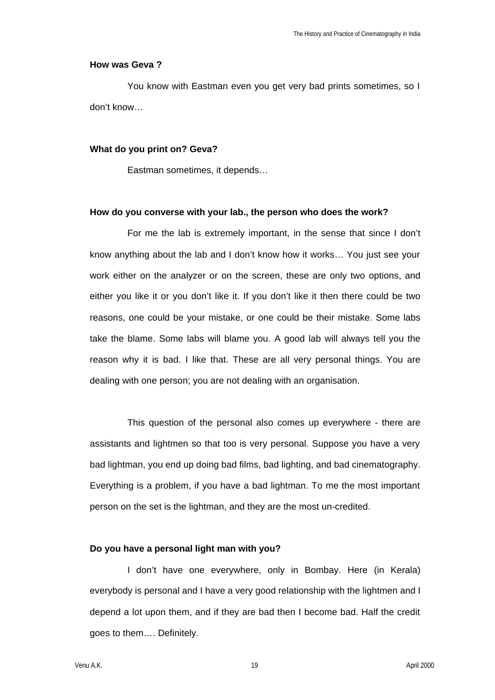### **How was Geva ?**

You know with Eastman even you get very bad prints sometimes, so I don't know…

#### **What do you print on? Geva?**

Eastman sometimes, it depends…

#### **How do you converse with your lab., the person who does the work?**

For me the lab is extremely important, in the sense that since I don't know anything about the lab and I don't know how it works… You just see your work either on the analyzer or on the screen, these are only two options, and either you like it or you don't like it. If you don't like it then there could be two reasons, one could be your mistake, or one could be their mistake. Some labs take the blame. Some labs will blame you. A good lab will always tell you the reason why it is bad. I like that. These are all very personal things. You are dealing with one person; you are not dealing with an organisation.

This question of the personal also comes up everywhere - there are assistants and lightmen so that too is very personal. Suppose you have a very bad lightman, you end up doing bad films, bad lighting, and bad cinematography. Everything is a problem, if you have a bad lightman. To me the most important person on the set is the lightman, and they are the most un-credited.

#### **Do you have a personal light man with you?**

I don't have one everywhere, only in Bombay. Here (in Kerala) everybody is personal and I have a very good relationship with the lightmen and I depend a lot upon them, and if they are bad then I become bad. Half the credit goes to them…. Definitely.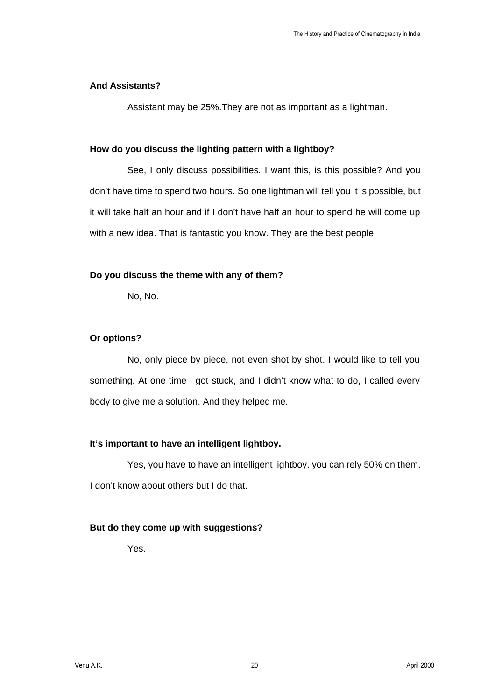## **And Assistants?**

Assistant may be 25%.They are not as important as a lightman.

## **How do you discuss the lighting pattern with a lightboy?**

See, I only discuss possibilities. I want this, is this possible? And you don't have time to spend two hours. So one lightman will tell you it is possible, but it will take half an hour and if I don't have half an hour to spend he will come up with a new idea. That is fantastic you know. They are the best people.

# **Do you discuss the theme with any of them?**

No, No.

# **Or options?**

No, only piece by piece, not even shot by shot. I would like to tell you something. At one time I got stuck, and I didn't know what to do, I called every body to give me a solution. And they helped me.

# **It's important to have an intelligent lightboy.**

Yes, you have to have an intelligent lightboy. you can rely 50% on them. I don't know about others but I do that.

# **But do they come up with suggestions?**

Yes.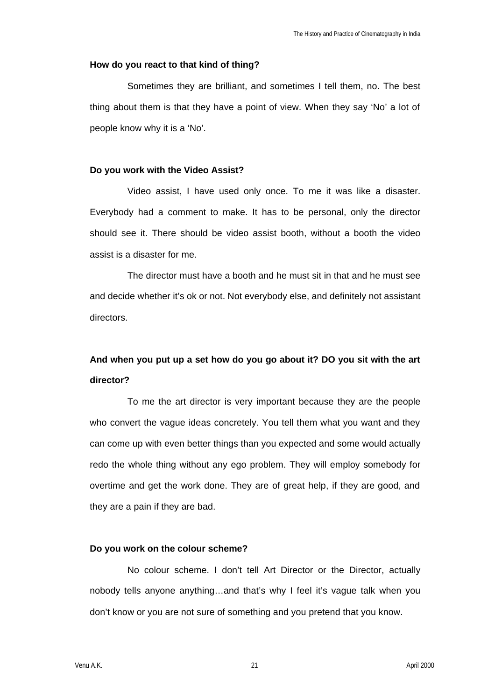### **How do you react to that kind of thing?**

Sometimes they are brilliant, and sometimes I tell them, no. The best thing about them is that they have a point of view. When they say 'No' a lot of people know why it is a 'No'.

### **Do you work with the Video Assist?**

Video assist, I have used only once. To me it was like a disaster. Everybody had a comment to make. It has to be personal, only the director should see it. There should be video assist booth, without a booth the video assist is a disaster for me.

The director must have a booth and he must sit in that and he must see and decide whether it's ok or not. Not everybody else, and definitely not assistant directors.

# **And when you put up a set how do you go about it? DO you sit with the art director?**

To me the art director is very important because they are the people who convert the vague ideas concretely. You tell them what you want and they can come up with even better things than you expected and some would actually redo the whole thing without any ego problem. They will employ somebody for overtime and get the work done. They are of great help, if they are good, and they are a pain if they are bad.

### **Do you work on the colour scheme?**

No colour scheme. I don't tell Art Director or the Director, actually nobody tells anyone anything…and that's why I feel it's vague talk when you don't know or you are not sure of something and you pretend that you know.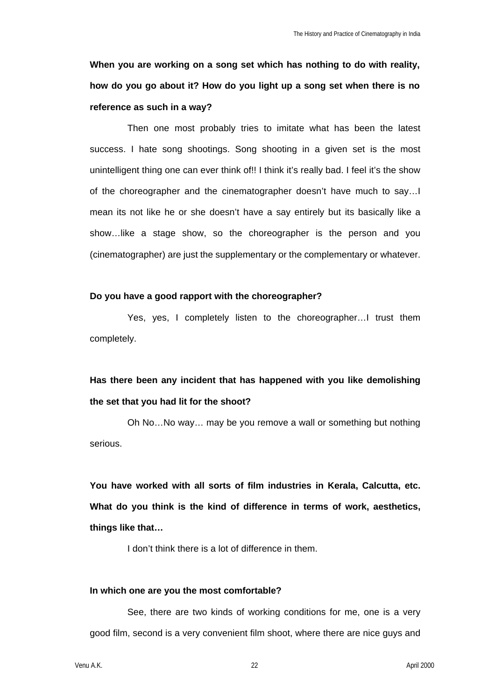**When you are working on a song set which has nothing to do with reality, how do you go about it? How do you light up a song set when there is no reference as such in a way?**

Then one most probably tries to imitate what has been the latest success. I hate song shootings. Song shooting in a given set is the most unintelligent thing one can ever think of!! I think it's really bad. I feel it's the show of the choreographer and the cinematographer doesn't have much to say…I mean its not like he or she doesn't have a say entirely but its basically like a show…like a stage show, so the choreographer is the person and you (cinematographer) are just the supplementary or the complementary or whatever.

### **Do you have a good rapport with the choreographer?**

Yes, yes, I completely listen to the choreographer…I trust them completely.

# **Has there been any incident that has happened with you like demolishing the set that you had lit for the shoot?**

Oh No…No way… may be you remove a wall or something but nothing serious.

**You have worked with all sorts of film industries in Kerala, Calcutta, etc. What do you think is the kind of difference in terms of work, aesthetics, things like that…**

I don't think there is a lot of difference in them.

### **In which one are you the most comfortable?**

See, there are two kinds of working conditions for me, one is a very good film, second is a very convenient film shoot, where there are nice guys and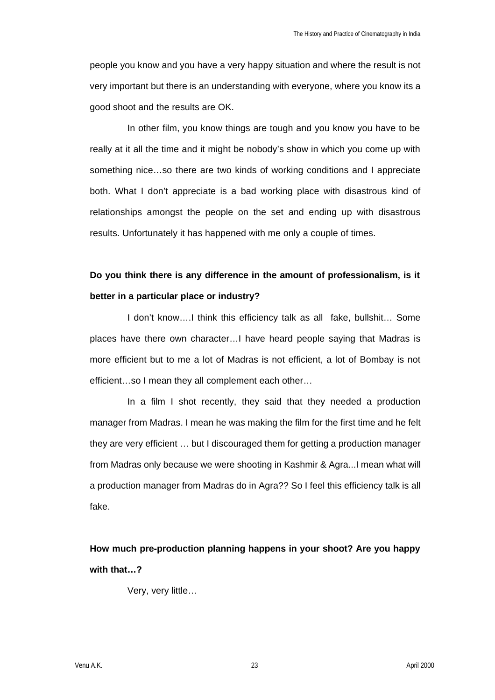people you know and you have a very happy situation and where the result is not very important but there is an understanding with everyone, where you know its a good shoot and the results are OK.

In other film, you know things are tough and you know you have to be really at it all the time and it might be nobody's show in which you come up with something nice…so there are two kinds of working conditions and I appreciate both. What I don't appreciate is a bad working place with disastrous kind of relationships amongst the people on the set and ending up with disastrous results. Unfortunately it has happened with me only a couple of times.

# **Do you think there is any difference in the amount of professionalism, is it better in a particular place or industry?**

I don't know….I think this efficiency talk as all fake, bullshit… Some places have there own character…I have heard people saying that Madras is more efficient but to me a lot of Madras is not efficient, a lot of Bombay is not efficient…so I mean they all complement each other…

In a film I shot recently, they said that they needed a production manager from Madras. I mean he was making the film for the first time and he felt they are very efficient … but I discouraged them for getting a production manager from Madras only because we were shooting in Kashmir & Agra...I mean what will a production manager from Madras do in Agra?? So I feel this efficiency talk is all fake.

# **How much pre-production planning happens in your shoot? Are you happy with that…?**

Very, very little…

Venu A.K. 23 April 2000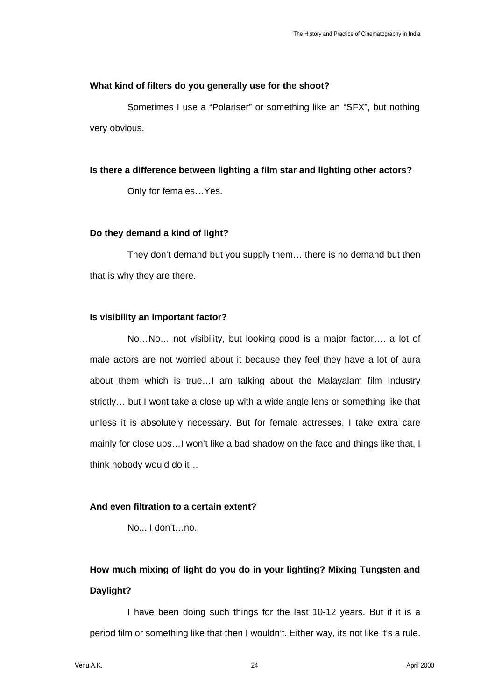### **What kind of filters do you generally use for the shoot?**

Sometimes I use a "Polariser" or something like an "SFX", but nothing very obvious.

## **Is there a difference between lighting a film star and lighting other actors?**

Only for females…Yes.

## **Do they demand a kind of light?**

They don't demand but you supply them… there is no demand but then that is why they are there.

### **Is visibility an important factor?**

No…No… not visibility, but looking good is a major factor…. a lot of male actors are not worried about it because they feel they have a lot of aura about them which is true…I am talking about the Malayalam film Industry strictly… but I wont take a close up with a wide angle lens or something like that unless it is absolutely necessary. But for female actresses, I take extra care mainly for close ups…I won't like a bad shadow on the face and things like that, I think nobody would do it…

# **And even filtration to a certain extent?**

No... I don't…no.

# **How much mixing of light do you do in your lighting? Mixing Tungsten and Daylight?**

I have been doing such things for the last 10-12 years. But if it is a period film or something like that then I wouldn't. Either way, its not like it's a rule.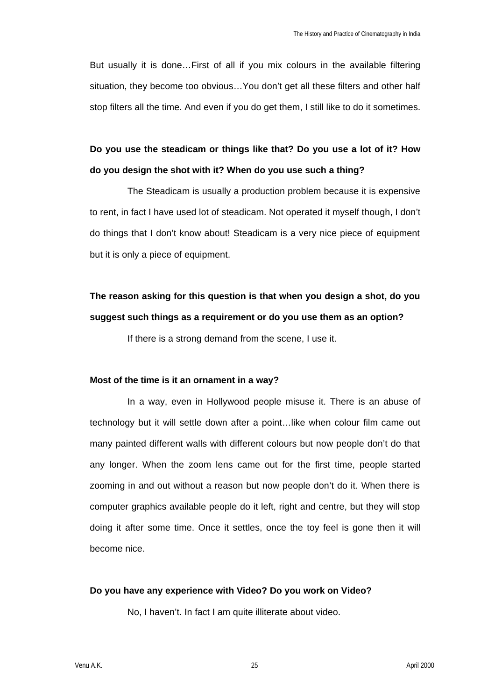But usually it is done…First of all if you mix colours in the available filtering situation, they become too obvious…You don't get all these filters and other half stop filters all the time. And even if you do get them, I still like to do it sometimes.

# **Do you use the steadicam or things like that? Do you use a lot of it? How do you design the shot with it? When do you use such a thing?**

The Steadicam is usually a production problem because it is expensive to rent, in fact I have used lot of steadicam. Not operated it myself though, I don't do things that I don't know about! Steadicam is a very nice piece of equipment but it is only a piece of equipment.

# **The reason asking for this question is that when you design a shot, do you suggest such things as a requirement or do you use them as an option?**

If there is a strong demand from the scene, I use it.

### **Most of the time is it an ornament in a way?**

In a way, even in Hollywood people misuse it. There is an abuse of technology but it will settle down after a point…like when colour film came out many painted different walls with different colours but now people don't do that any longer. When the zoom lens came out for the first time, people started zooming in and out without a reason but now people don't do it. When there is computer graphics available people do it left, right and centre, but they will stop doing it after some time. Once it settles, once the toy feel is gone then it will become nice.

## **Do you have any experience with Video? Do you work on Video?**

No, I haven't. In fact I am quite illiterate about video.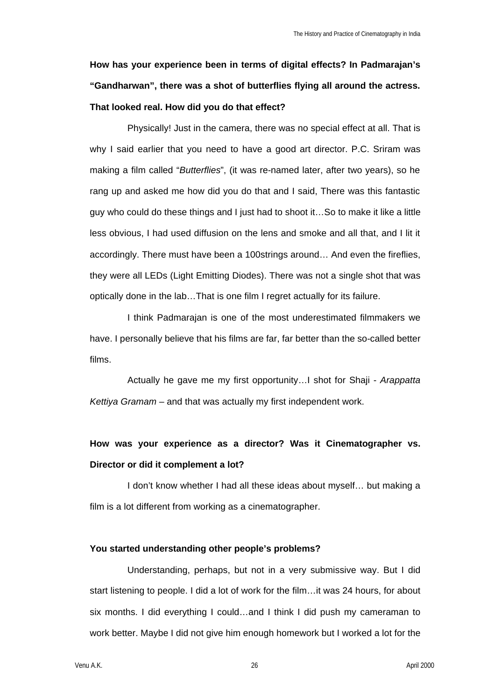# **How has your experience been in terms of digital effects? In Padmarajan's "Gandharwan", there was a shot of butterflies flying all around the actress. That looked real. How did you do that effect?**

Physically! Just in the camera, there was no special effect at all. That is why I said earlier that you need to have a good art director. P.C. Sriram was making a film called "*Butterflies*", (it was re-named later, after two years), so he rang up and asked me how did you do that and I said, There was this fantastic guy who could do these things and I just had to shoot it…So to make it like a little less obvious, I had used diffusion on the lens and smoke and all that, and I lit it accordingly. There must have been a 100strings around… And even the fireflies, they were all LEDs (Light Emitting Diodes). There was not a single shot that was optically done in the lab…That is one film I regret actually for its failure.

I think Padmarajan is one of the most underestimated filmmakers we have. I personally believe that his films are far, far better than the so-called better films.

Actually he gave me my first opportunity…I shot for Shaji - *Arappatta Kettiya Gramam* – and that was actually my first independent work.

# **How was your experience as a director? Was it Cinematographer vs. Director or did it complement a lot?**

I don't know whether I had all these ideas about myself… but making a film is a lot different from working as a cinematographer.

## **You started understanding other people's problems?**

Understanding, perhaps, but not in a very submissive way. But I did start listening to people. I did a lot of work for the film…it was 24 hours, for about six months. I did everything I could…and I think I did push my cameraman to work better. Maybe I did not give him enough homework but I worked a lot for the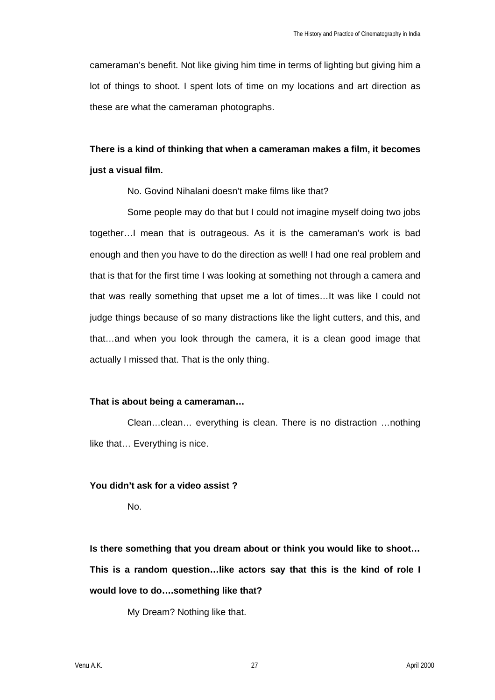cameraman's benefit. Not like giving him time in terms of lighting but giving him a lot of things to shoot. I spent lots of time on my locations and art direction as these are what the cameraman photographs.

# **There is a kind of thinking that when a cameraman makes a film, it becomes just a visual film.**

No. Govind Nihalani doesn't make films like that?

Some people may do that but I could not imagine myself doing two jobs together…I mean that is outrageous. As it is the cameraman's work is bad enough and then you have to do the direction as well! I had one real problem and that is that for the first time I was looking at something not through a camera and that was really something that upset me a lot of times…It was like I could not judge things because of so many distractions like the light cutters, and this, and that…and when you look through the camera, it is a clean good image that actually I missed that. That is the only thing.

## **That is about being a cameraman…**

Clean…clean… everything is clean. There is no distraction …nothing like that… Everything is nice.

## **You didn't ask for a video assist ?**

No.

**Is there something that you dream about or think you would like to shoot… This is a random question…like actors say that this is the kind of role I would love to do….something like that?**

My Dream? Nothing like that.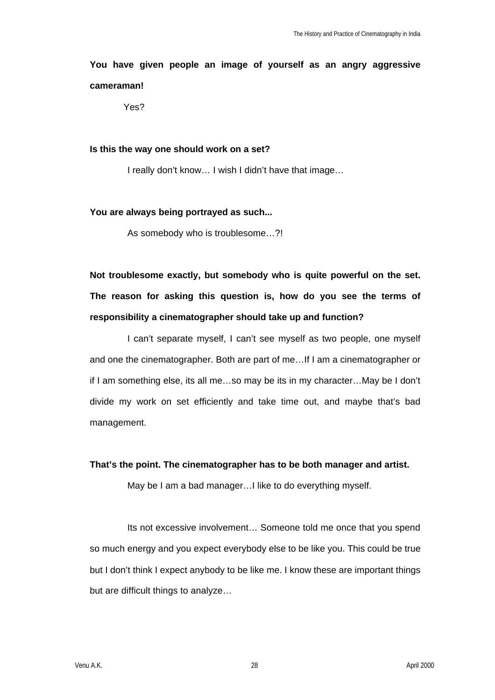# **You have given people an image of yourself as an angry aggressive cameraman!**

Yes?

## **Is this the way one should work on a set?**

I really don't know… I wish I didn't have that image…

## **You are always being portrayed as such...**

As somebody who is troublesome…?!

**Not troublesome exactly, but somebody who is quite powerful on the set. The reason for asking this question is, how do you see the terms of responsibility a cinematographer should take up and function?**

I can't separate myself, I can't see myself as two people, one myself and one the cinematographer. Both are part of me…If I am a cinematographer or if I am something else, its all me…so may be its in my character…May be I don't divide my work on set efficiently and take time out, and maybe that's bad management.

## **That's the point. The cinematographer has to be both manager and artist.**

May be I am a bad manager…I like to do everything myself.

Its not excessive involvement… Someone told me once that you spend so much energy and you expect everybody else to be like you. This could be true but I don't think I expect anybody to be like me. I know these are important things but are difficult things to analyze…

Venu A.K. 28 April 2000